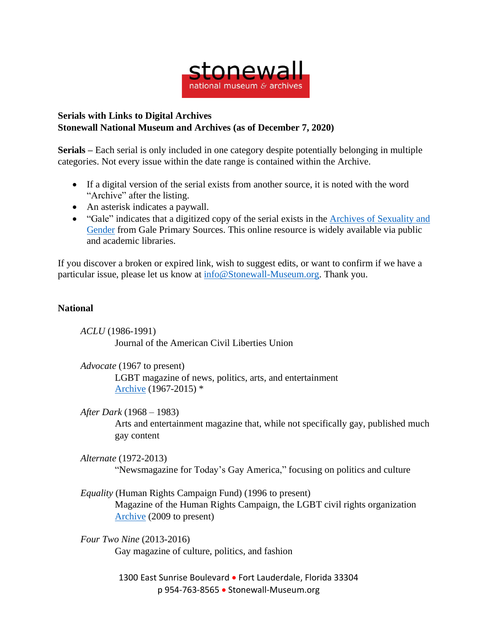

## **Serials with Links to Digital Archives Stonewall National Museum and Archives (as of December 7, 2020)**

**Serials –** Each serial is only included in one category despite potentially belonging in multiple categories. Not every issue within the date range is contained within the Archive.

- If a digital version of the serial exists from another source, it is noted with the word "Archive" after the listing.
- An asterisk indicates a paywall.
- "Gale" indicates that a digitized copy of the serial exists in the Archives of [Sexuality](https://www.gale.com/primary-sources/archives-of-sexuality-and-gender) and [Gender](https://www.gale.com/primary-sources/archives-of-sexuality-and-gender) from Gale Primary Sources. This online resource is widely available via public and academic libraries.

If you discover a broken or expired link, wish to suggest edits, or want to confirm if we have a particular issue, please let us know at [info@Stonewall-Museum.org.](mailto:info@Stonewall-Museum.org) Thank you.

## **National**

*ACLU* (1986-1991) Journal of the American Civil Liberties Union

*Advocate* (1967 to present)

LGBT magazine of news, politics, arts, and entertainment [Archive](https://proquest.libguides.com/lgbtmagazinearchive#:~:text=The%20Advocate%20is%20the%20periodical,community%20for%20over%2050%20years.) (1967-2015) \*

*After Dark* (1968 – 1983)

Arts and entertainment magazine that, while not specifically gay, published much gay content

*Alternate* (1972-2013)

"Newsmagazine for Today's Gay America," focusing on politics and culture

*Equality* (Human Rights Campaign Fund) (1996 to present) Magazine of the Human Rights Campaign, the LGBT civil rights organization [Archive](https://issuu.com/humanrightscampaign/docs) (2009 to present)

*Four Two Nine* (2013-2016) Gay magazine of culture, politics, and fashion

> 1300 East Sunrise Boulevard • Fort Lauderdale, Florida 33304 p 954-763-8565 • Stonewall-Museum.org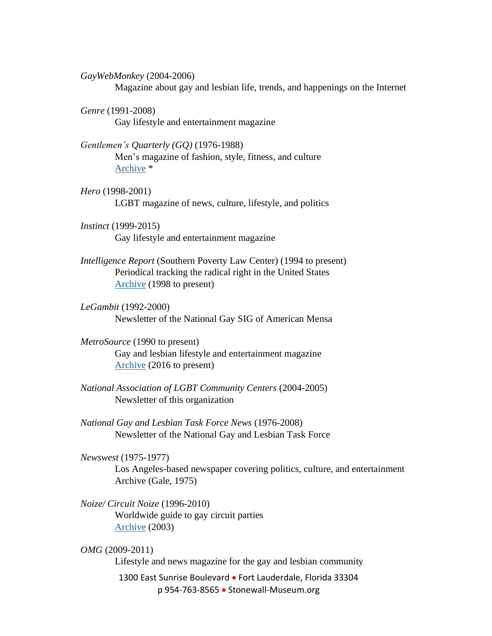*GayWebMonkey* (2004-2006)

Magazine about gay and lesbian life, trends, and happenings on the Internet

- *Genre* (1991-2008) Gay lifestyle and entertainment magazine
- *Gentlemen's Quarterly (GQ)* (1976-1988) Men's magazine of fashion, style, fitness, and culture [Archive](https://flipster.ebsco.com/magazine/gq-gentlemens-quarterly) \*
- *Hero* (1998-2001) LGBT magazine of news, culture, lifestyle, and politics
- *Instinct* (1999-2015) Gay lifestyle and entertainment magazine
- *Intelligence Report* (Southern Poverty Law Center) (1994 to present) Periodical tracking the radical right in the United States [Archive](https://www.splcenter.org/intelligence-reports) (1998 to present)
- *LeGambit* (1992-2000) Newsletter of the National Gay SIG of American Mensa
- *MetroSource* (1990 to present) Gay and lesbian lifestyle and entertainment magazine [Archive](https://issuu.com/metrosource) (2016 to present)
- *National Association of LGBT Community Centers* (2004-2005) Newsletter of this organization
- *National Gay and Lesbian Task Force News* (1976-2008) Newsletter of the National Gay and Lesbian Task Force
- *Newswest* (1975-1977)

Los Angeles-based newspaper covering politics, culture, and entertainment Archive (Gale, 1975)

- *Noize/ Circuit Noize* (1996-2010) Worldwide guide to gay circuit parties [Archive](https://noize.buzz/issues/cn35full.pdf) (2003)
- 1300 East Sunrise Boulevard Fort Lauderdale, Florida 33304 p 954-763-8565 • Stonewall-Museum.org *OMG* (2009-2011) Lifestyle and news magazine for the gay and lesbian community